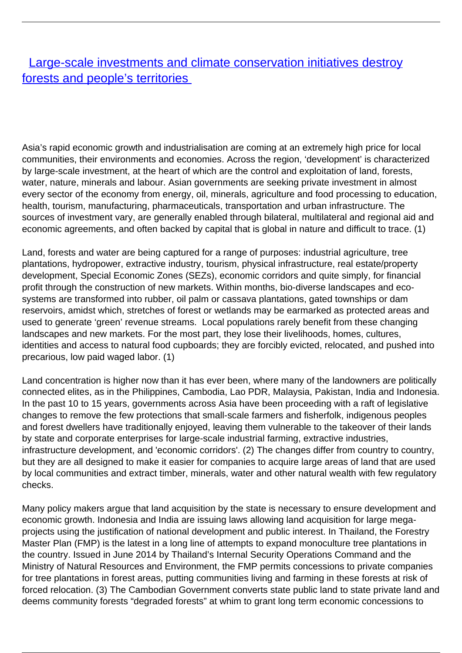## **[Large-scale investments and climate conservation initiatives destroy](/bulletin-articles/large-scale-investments-and-climate-conservation-initiatives-destroy-forests-and-peoples-territories)** [forests and people's territories](/bulletin-articles/large-scale-investments-and-climate-conservation-initiatives-destroy-forests-and-peoples-territories)

Asia's rapid economic growth and industrialisation are coming at an extremely high price for local communities, their environments and economies. Across the region, 'development' is characterized by large-scale investment, at the heart of which are the control and exploitation of land, forests, water, nature, minerals and labour. Asian governments are seeking private investment in almost every sector of the economy from energy, oil, minerals, agriculture and food processing to education, health, tourism, manufacturing, pharmaceuticals, transportation and urban infrastructure. The sources of investment vary, are generally enabled through bilateral, multilateral and regional aid and economic agreements, and often backed by capital that is global in nature and difficult to trace. (1)

Land, forests and water are being captured for a range of purposes: industrial agriculture, tree plantations, hydropower, extractive industry, tourism, physical infrastructure, real estate/property development, Special Economic Zones (SEZs), economic corridors and quite simply, for financial profit through the construction of new markets. Within months, bio-diverse landscapes and ecosystems are transformed into rubber, oil palm or cassava plantations, gated townships or dam reservoirs, amidst which, stretches of forest or wetlands may be earmarked as protected areas and used to generate 'green' revenue streams. Local populations rarely benefit from these changing landscapes and new markets. For the most part, they lose their livelihoods, homes, cultures, identities and access to natural food cupboards; they are forcibly evicted, relocated, and pushed into precarious, low paid waged labor. (1)

Land concentration is higher now than it has ever been, where many of the landowners are politically connected elites, as in the Philippines, Cambodia, Lao PDR, Malaysia, Pakistan, India and Indonesia. In the past 10 to 15 years, governments across Asia have been proceeding with a raft of legislative changes to remove the few protections that small-scale farmers and fisherfolk, indigenous peoples and forest dwellers have traditionally enjoyed, leaving them vulnerable to the takeover of their lands by state and corporate enterprises for large-scale industrial farming, extractive industries, infrastructure development, and 'economic corridors'. (2) The changes differ from country to country, but they are all designed to make it easier for companies to acquire large areas of land that are used by local communities and extract timber, minerals, water and other natural wealth with few regulatory checks.

Many policy makers argue that land acquisition by the state is necessary to ensure development and economic growth. Indonesia and India are issuing laws allowing land acquisition for large megaprojects using the justification of national development and public interest. In Thailand, the Forestry Master Plan (FMP) is the latest in a long line of attempts to expand monoculture tree plantations in the country. Issued in June 2014 by Thailand's Internal Security Operations Command and the Ministry of Natural Resources and Environment, the FMP permits concessions to private companies for tree plantations in forest areas, putting communities living and farming in these forests at risk of forced relocation. (3) The Cambodian Government converts state public land to state private land and deems community forests "degraded forests" at whim to grant long term economic concessions to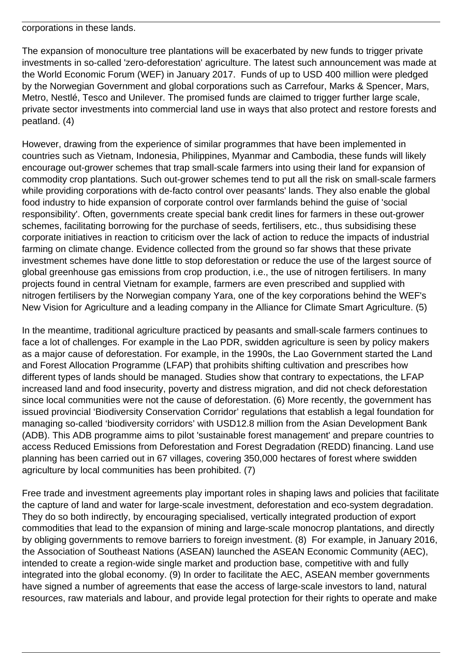corporations in these lands.

The expansion of monoculture tree plantations will be exacerbated by new funds to trigger private investments in so-called 'zero-deforestation' agriculture. The latest such announcement was made at the World Economic Forum (WEF) in January 2017. Funds of up to USD 400 million were pledged by the Norwegian Government and global corporations such as Carrefour, Marks & Spencer, Mars, Metro, Nestlé, Tesco and Unilever. The promised funds are claimed to trigger further large scale, private sector investments into commercial land use in ways that also protect and restore forests and peatland. (4)

However, drawing from the experience of similar programmes that have been implemented in countries such as Vietnam, Indonesia, Philippines, Myanmar and Cambodia, these funds will likely encourage out-grower schemes that trap small-scale farmers into using their land for expansion of commodity crop plantations. Such out-grower schemes tend to put all the risk on small-scale farmers while providing corporations with de-facto control over peasants' lands. They also enable the global food industry to hide expansion of corporate control over farmlands behind the guise of 'social responsibility'. Often, governments create special bank credit lines for farmers in these out-grower schemes, facilitating borrowing for the purchase of seeds, fertilisers, etc., thus subsidising these corporate initiatives in reaction to criticism over the lack of action to reduce the impacts of industrial farming on climate change. Evidence collected from the ground so far shows that these private investment schemes have done little to stop deforestation or reduce the use of the largest source of global greenhouse gas emissions from crop production, i.e., the use of nitrogen fertilisers. In many projects found in central Vietnam for example, farmers are even prescribed and supplied with nitrogen fertilisers by the Norwegian company Yara, one of the key corporations behind the WEF's New Vision for Agriculture and a leading company in the Alliance for Climate Smart Agriculture. (5)

In the meantime, traditional agriculture practiced by peasants and small-scale farmers continues to face a lot of challenges. For example in the Lao PDR, swidden agriculture is seen by policy makers as a major cause of deforestation. For example, in the 1990s, the Lao Government started the Land and Forest Allocation Programme (LFAP) that prohibits shifting cultivation and prescribes how different types of lands should be managed. Studies show that contrary to expectations, the LFAP increased land and food insecurity, poverty and distress migration, and did not check deforestation since local communities were not the cause of deforestation. (6) More recently, the government has issued provincial 'Biodiversity Conservation Corridor' regulations that establish a legal foundation for managing so-called 'biodiversity corridors' with USD12.8 million from the Asian Development Bank (ADB). This ADB programme aims to pilot 'sustainable forest management' and prepare countries to access Reduced Emissions from Deforestation and Forest Degradation (REDD) financing. Land use planning has been carried out in 67 villages, covering 350,000 hectares of forest where swidden agriculture by local communities has been prohibited. (7)

Free trade and investment agreements play important roles in shaping laws and policies that facilitate the capture of land and water for large-scale investment, deforestation and eco-system degradation. They do so both indirectly, by encouraging specialised, vertically integrated production of export commodities that lead to the expansion of mining and large-scale monocrop plantations, and directly by obliging governments to remove barriers to foreign investment. (8) For example, in January 2016, the Association of Southeast Nations (ASEAN) launched the ASEAN Economic Community (AEC), intended to create a region-wide single market and production base, competitive with and fully integrated into the global economy. (9) In order to facilitate the AEC, ASEAN member governments have signed a number of agreements that ease the access of large-scale investors to land, natural resources, raw materials and labour, and provide legal protection for their rights to operate and make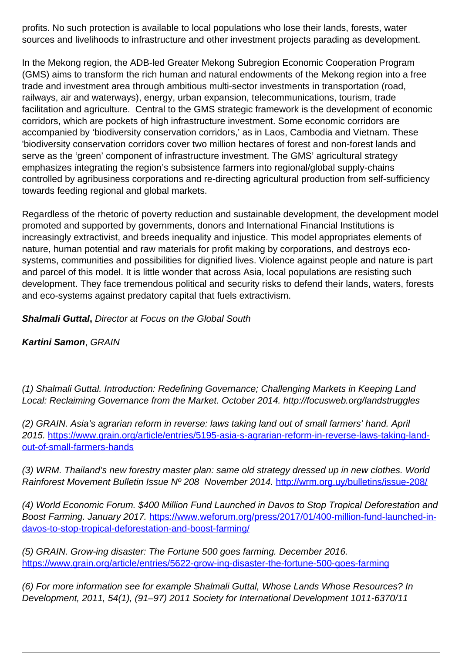profits. No such protection is available to local populations who lose their lands, forests, water sources and livelihoods to infrastructure and other investment projects parading as development.

In the Mekong region, the ADB-led Greater Mekong Subregion Economic Cooperation Program (GMS) aims to transform the rich human and natural endowments of the Mekong region into a free trade and investment area through ambitious multi-sector investments in transportation (road, railways, air and waterways), energy, urban expansion, telecommunications, tourism, trade facilitation and agriculture. Central to the GMS strategic framework is the development of economic corridors, which are pockets of high infrastructure investment. Some economic corridors are accompanied by 'biodiversity conservation corridors,' as in Laos, Cambodia and Vietnam. These 'biodiversity conservation corridors cover two million hectares of forest and non-forest lands and serve as the 'green' component of infrastructure investment. The GMS' agricultural strategy emphasizes integrating the region's subsistence farmers into regional/global supply-chains controlled by agribusiness corporations and re-directing agricultural production from self-sufficiency towards feeding regional and global markets.

Regardless of the rhetoric of poverty reduction and sustainable development, the development model promoted and supported by governments, donors and International Financial Institutions is increasingly extractivist, and breeds inequality and injustice. This model appropriates elements of nature, human potential and raw materials for profit making by corporations, and destroys ecosystems, communities and possibilities for dignified lives. Violence against people and nature is part and parcel of this model. It is little wonder that across Asia, local populations are resisting such development. They face tremendous political and security risks to defend their lands, waters, forests and eco-systems against predatory capital that fuels extractivism.

**Shalmali Guttal,** Director at Focus on the Global South

**Kartini Samon**, GRAIN

(1) Shalmali Guttal. Introduction: Redefining Governance; Challenging Markets in Keeping Land Local: Reclaiming Governance from the Market. October 2014. http://focusweb.org/landstruggles

(2) GRAIN. Asia's agrarian reform in reverse: laws taking land out of small farmers' hand. April 2015. [https://www.grain.org/article/entries/5195-asia-s-agrarian-reform-in-reverse-laws-taking-land](https://www.grain.org/article/entries/5195-asia-s-agrarian-reform-in-reverse-laws-taking-land-out-of-small-farmers-hands)[out-of-small-farmers-hands](https://www.grain.org/article/entries/5195-asia-s-agrarian-reform-in-reverse-laws-taking-land-out-of-small-farmers-hands)

(3) WRM. Thailand's new forestry master plan: same old strategy dressed up in new clothes. World Rainforest Movement Bulletin Issue Nº 208 November 2014. <http://wrm.org.uy/bulletins/issue-208/>

(4) World Economic Forum. \$400 Million Fund Launched in Davos to Stop Tropical Deforestation and Boost Farming. January 2017. [https://www.weforum.org/press/2017/01/400-million-fund-launched-in](https://www.weforum.org/press/2017/01/400-million-fund-launched-in-davos-to-stop-tropical-deforestation-and-boost-farming/)[davos-to-stop-tropical-deforestation-and-boost-farming/](https://www.weforum.org/press/2017/01/400-million-fund-launched-in-davos-to-stop-tropical-deforestation-and-boost-farming/)

(5) GRAIN. Grow-ing disaster: The Fortune 500 goes farming. December 2016. <https://www.grain.org/article/entries/5622-grow-ing-disaster-the-fortune-500-goes-farming>

(6) For more information see for example Shalmali Guttal, Whose Lands Whose Resources? In Development, 2011, 54(1), (91–97) 2011 Society for International Development 1011-6370/11